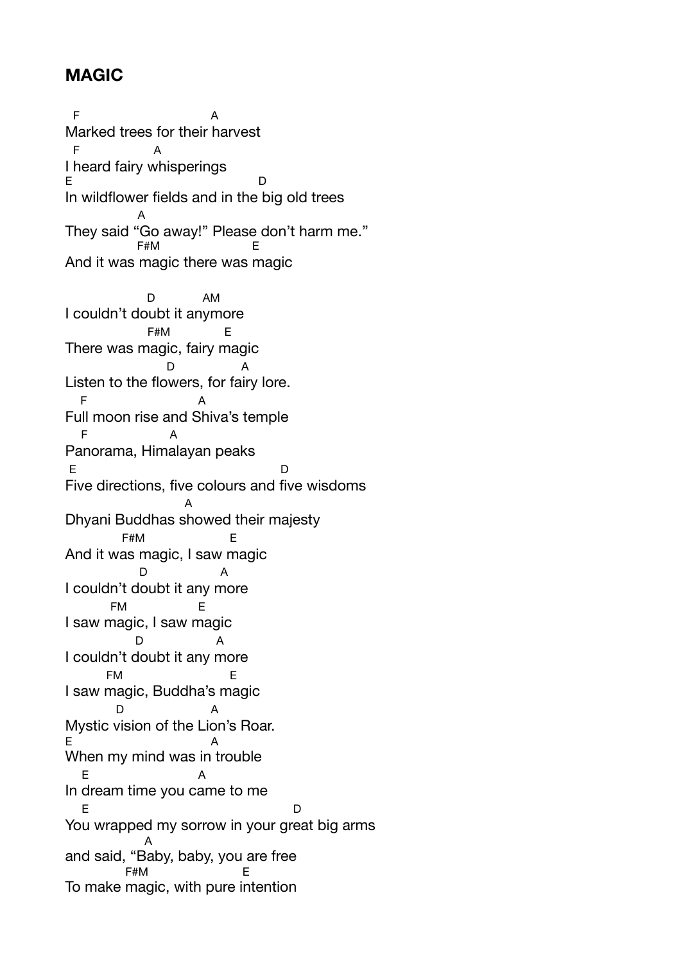## **MAGIC**

 $F$  A Marked trees for their harvest F A I heard fairy whisperings E D In wildflower fields and in the big old trees A They said "Go away!" Please don't harm me."<br>  $F^{HMM}$ And it was magic there was magic D AM I couldn't doubt it anymore F#M E There was magic, fairy magic D A Listen to the flowers, for fairy lore. F A Full moon rise and Shiva's temple F A Panorama, Himalayan peaks E D Five directions, five colours and five wisdoms A Dhyani Buddhas showed their majesty F#M E And it was magic, I saw magic D A I couldn't doubt it any more FM E I saw magic, I saw magic D A I couldn't doubt it any more FM E I saw magic, Buddha's magic D A Mystic vision of the Lion's Roar. E A When my mind was in trouble E A In dream time you came to me E D You wrapped my sorrow in your great big arms A and said, "Baby, baby, you are free  $F#M$ To make magic, with pure intention